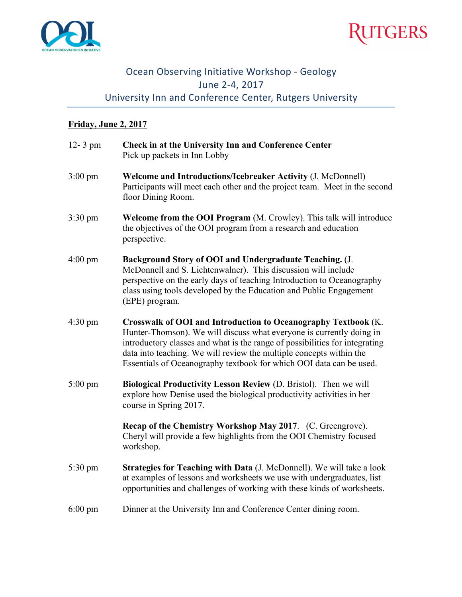



## Ocean Observing Initiative Workshop - Geology June 2-4, 2017 University Inn and Conference Center, Rutgers University

## **Friday, June 2, 2017**

| $12 - 3$ pm       | Check in at the University Inn and Conference Center<br>Pick up packets in Inn Lobby                                                                                                                                                                                                                                                                                |
|-------------------|---------------------------------------------------------------------------------------------------------------------------------------------------------------------------------------------------------------------------------------------------------------------------------------------------------------------------------------------------------------------|
| $3:00 \text{ pm}$ | Welcome and Introductions/Icebreaker Activity (J. McDonnell)<br>Participants will meet each other and the project team. Meet in the second<br>floor Dining Room.                                                                                                                                                                                                    |
| $3:30 \text{ pm}$ | Welcome from the OOI Program (M. Crowley). This talk will introduce<br>the objectives of the OOI program from a research and education<br>perspective.                                                                                                                                                                                                              |
| $4:00 \text{ pm}$ | Background Story of OOI and Undergraduate Teaching. (J.<br>McDonnell and S. Lichtenwalner). This discussion will include<br>perspective on the early days of teaching Introduction to Oceanography<br>class using tools developed by the Education and Public Engagement<br>(EPE) program.                                                                          |
| $4:30 \text{ pm}$ | Crosswalk of OOI and Introduction to Oceanography Textbook (K.<br>Hunter-Thomson). We will discuss what everyone is currently doing in<br>introductory classes and what is the range of possibilities for integrating<br>data into teaching. We will review the multiple concepts within the<br>Essentials of Oceanography textbook for which OOI data can be used. |
| $5:00 \text{ pm}$ | Biological Productivity Lesson Review (D. Bristol). Then we will<br>explore how Denise used the biological productivity activities in her<br>course in Spring 2017.                                                                                                                                                                                                 |
|                   | Recap of the Chemistry Workshop May 2017. (C. Greengrove).<br>Cheryl will provide a few highlights from the OOI Chemistry focused<br>workshop.                                                                                                                                                                                                                      |
| 5:30 pm           | Strategies for Teaching with Data (J. McDonnell). We will take a look<br>at examples of lessons and worksheets we use with undergraduates, list<br>opportunities and challenges of working with these kinds of worksheets.                                                                                                                                          |
| $6:00 \text{ pm}$ | Dinner at the University Inn and Conference Center dining room.                                                                                                                                                                                                                                                                                                     |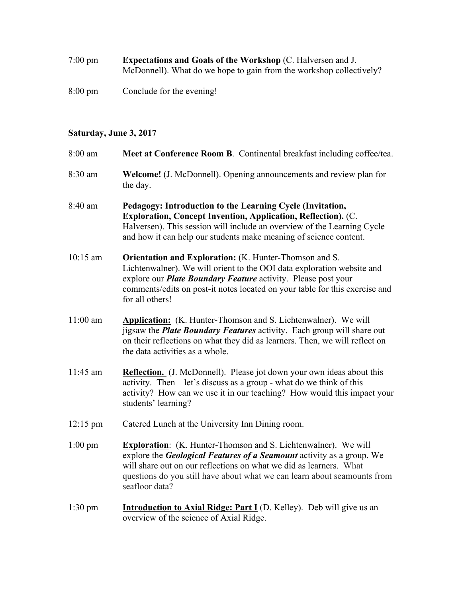| $7:00 \text{ pm}$ | <b>Expectations and Goals of the Workshop (C. Halversen and J.</b>  |
|-------------------|---------------------------------------------------------------------|
|                   | McDonnell). What do we hope to gain from the workshop collectively? |
|                   |                                                                     |

8:00 pm Conclude for the evening!

## **Saturday, June 3, 2017**

| 8:00 am            | Meet at Conference Room B. Continental breakfast including coffee/tea.                                                                                                                                                                                                                                             |
|--------------------|--------------------------------------------------------------------------------------------------------------------------------------------------------------------------------------------------------------------------------------------------------------------------------------------------------------------|
| 8:30 am            | <b>Welcome!</b> (J. McDonnell). Opening announcements and review plan for<br>the day.                                                                                                                                                                                                                              |
| 8:40 am            | Pedagogy: Introduction to the Learning Cycle (Invitation,<br>Exploration, Concept Invention, Application, Reflection). (C.<br>Halversen). This session will include an overview of the Learning Cycle<br>and how it can help our students make meaning of science content.                                         |
| $10:15$ am         | <b>Orientation and Exploration:</b> (K. Hunter-Thomson and S.<br>Lichtenwalner). We will orient to the OOI data exploration website and<br>explore our <b>Plate Boundary Feature</b> activity. Please post your<br>comments/edits on post-it notes located on your table for this exercise and<br>for all others!  |
| $11:00$ am         | Application: (K. Hunter-Thomson and S. Lichtenwalner). We will<br>jigsaw the <i>Plate Boundary Features</i> activity. Each group will share out<br>on their reflections on what they did as learners. Then, we will reflect on<br>the data activities as a whole.                                                  |
| 11:45 am           | Reflection. (J. McDonnell). Please jot down your own ideas about this<br>activity. Then $-\text{let's}$ discuss as a group - what do we think of this<br>activity? How can we use it in our teaching? How would this impact your<br>students' learning?                                                            |
| $12:15 \text{ pm}$ | Catered Lunch at the University Inn Dining room.                                                                                                                                                                                                                                                                   |
| $1:00$ pm          | Exploration: (K. Hunter-Thomson and S. Lichtenwalner). We will<br>explore the <b>Geological Features of a Seamount</b> activity as a group. We<br>will share out on our reflections on what we did as learners. What<br>questions do you still have about what we can learn about seamounts from<br>seafloor data? |
| $1:30 \text{ pm}$  | Introduction to Axial Ridge: Part I (D. Kelley). Deb will give us an<br>overview of the science of Axial Ridge.                                                                                                                                                                                                    |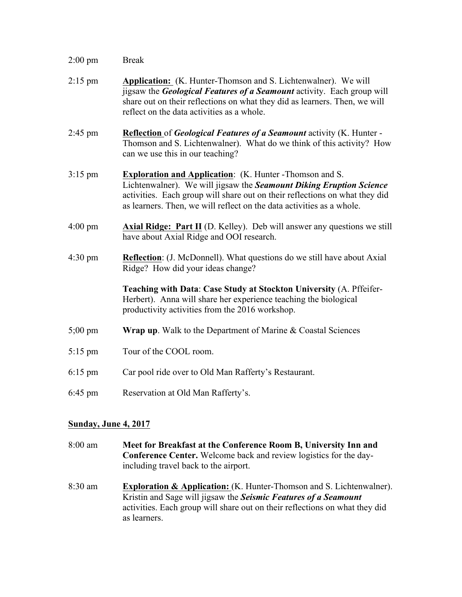| $2:00$ pm            | <b>Break</b>                                                                                                                                                                                                                                                                                   |
|----------------------|------------------------------------------------------------------------------------------------------------------------------------------------------------------------------------------------------------------------------------------------------------------------------------------------|
| $2:15$ pm            | <b>Application:</b> (K. Hunter-Thomson and S. Lichtenwalner). We will<br>jigsaw the <b>Geological Features of a Seamount</b> activity. Each group will<br>share out on their reflections on what they did as learners. Then, we will<br>reflect on the data activities as a whole.             |
| $2:45$ pm            | <b>Reflection of Geological Features of a Seamount activity (K. Hunter -</b><br>Thomson and S. Lichtenwalner). What do we think of this activity? How<br>can we use this in our teaching?                                                                                                      |
| $3:15$ pm            | <b>Exploration and Application:</b> (K. Hunter - Thomson and S.<br>Lichtenwalner). We will jigsaw the Seamount Diking Eruption Science<br>activities. Each group will share out on their reflections on what they did<br>as learners. Then, we will reflect on the data activities as a whole. |
| $4:00 \text{ pm}$    | <b>Axial Ridge: Part II</b> (D. Kelley). Deb will answer any questions we still<br>have about Axial Ridge and OOI research.                                                                                                                                                                    |
| $4:30 \text{ pm}$    | <b>Reflection</b> : (J. McDonnell). What questions do we still have about Axial<br>Ridge? How did your ideas change?                                                                                                                                                                           |
|                      | Teaching with Data: Case Study at Stockton University (A. Pffeifer-<br>Herbert). Anna will share her experience teaching the biological<br>productivity activities from the 2016 workshop.                                                                                                     |
| $5;00 \text{ pm}$    | <b>Wrap up.</b> Walk to the Department of Marine $\&$ Coastal Sciences                                                                                                                                                                                                                         |
| $5:15$ pm            | Tour of the COOL room.                                                                                                                                                                                                                                                                         |
| $6:15$ pm            | Car pool ride over to Old Man Rafferty's Restaurant.                                                                                                                                                                                                                                           |
| $6:45$ pm            | Reservation at Old Man Rafferty's.                                                                                                                                                                                                                                                             |
| Sunday, June 4, 2017 |                                                                                                                                                                                                                                                                                                |

- 8:00 am **Meet for Breakfast at the Conference Room B, University Inn and Conference Center.** Welcome back and review logistics for the dayincluding travel back to the airport.
- 8:30 am **Exploration & Application:** (K. Hunter-Thomson and S. Lichtenwalner). Kristin and Sage will jigsaw the *Seismic Features of a Seamount* activities. Each group will share out on their reflections on what they did as learners.